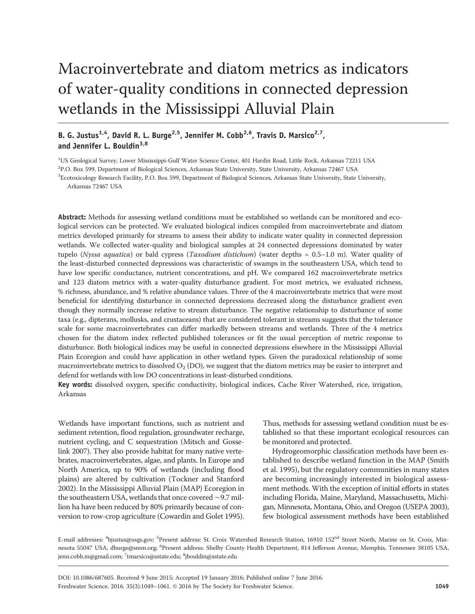# Macroinvertebrate and diatom metrics as indicators of water-quality conditions in connected depression wetlands in the Mississippi Alluvial Plain

## B. G. Justus<sup>1,4</sup>, David R. L. Burge<sup>2,5</sup>, Jennifer M. Cobb<sup>2,6</sup>, Travis D. Marsico<sup>2,7</sup>, and Jennifer L. Bouldin $3,8$

<sup>1</sup>US Geological Survey, Lower Mississippi-Gulf Water Science Center, 401 Hardin Road, Little Rock, Arkansas 72211 USA

2 P.O. Box 599, Department of Biological Sciences, Arkansas State University, State University, Arkansas 72467 USA

<sup>3</sup>Ecotoxicology Research Facility, P.O. Box 599, Department of Biological Sciences, Arkansas State University, State University, Arkansas 72467 USA

Abstract: Methods for assessing wetland conditions must be established so wetlands can be monitored and ecological services can be protected. We evaluated biological indices compiled from macroinvertebrate and diatom metrics developed primarily for streams to assess their ability to indicate water quality in connected depression wetlands. We collected water-quality and biological samples at 24 connected depressions dominated by water tupelo (Nyssa aquatica) or bald cypress (Taxodium distichum) (water depths = 0.5-1.0 m). Water quality of the least-disturbed connected depressions was characteristic of swamps in the southeastern USA, which tend to have low specific conductance, nutrient concentrations, and pH. We compared 162 macroinvertebrate metrics and 123 diatom metrics with a water-quality disturbance gradient. For most metrics, we evaluated richness, % richness, abundance, and % relative abundance values. Three of the 4 macroinvertebrate metrics that were most beneficial for identifying disturbance in connected depressions decreased along the disturbance gradient even though they normally increase relative to stream disturbance. The negative relationship to disturbance of some taxa (e.g., dipterans, mollusks, and crustaceans) that are considered tolerant in streams suggests that the tolerance scale for some macroinvertebrates can differ markedly between streams and wetlands. Three of the 4 metrics chosen for the diatom index reflected published tolerances or fit the usual perception of metric response to disturbance. Both biological indices may be useful in connected depressions elsewhere in the Mississippi Alluvial Plain Ecoregion and could have application in other wetland types. Given the paradoxical relationship of some macroinvertebrate metrics to dissolved  $O_2$  (DO), we suggest that the diatom metrics may be easier to interpret and defend for wetlands with low DO concentrations in least-disturbed conditions.

Key words: dissolved oxygen, specific conductivity, biological indices, Cache River Watershed, rice, irrigation, Arkansas

Wetlands have important functions, such as nutrient and sediment retention, flood regulation, groundwater recharge, nutrient cycling, and C sequestration (Mitsch and Gosselink 2007). They also provide habitat for many native vertebrates, macroinvertebrates, algae, and plants. In Europe and North America, up to 90% of wetlands (including flood plains) are altered by cultivation (Tockner and Stanford 2002). In the Mississippi Alluvial Plain (MAP) Ecoregion in the southeastern USA, wetlands that once covered ∼9.7 million ha have been reduced by 80% primarily because of conversion to row-crop agriculture (Cowardin and Golet 1995). Thus, methods for assessing wetland condition must be established so that these important ecological resources can be monitored and protected.

Hydrogeomorphic classification methods have been established to describe wetland function in the MAP (Smith et al. 1995), but the regulatory communities in many states are becoming increasingly interested in biological assessment methods. With the exception of initial efforts in states including Florida, Maine, Maryland, Massachusetts, Michigan, Minnesota, Montana, Ohio, and Oregon (USEPA 2003), few biological assessment methods have been established

E-mail addresses: <sup>4</sup>bjustus@usgs.gov; <sup>5</sup>Present address: St. Croix Watershed Research Station, 16910 152<sup>nd</sup> Street North, Marine on St. Croix, Minnesota 55047 USA, dburge@smm.org; <sup>6</sup>Present address: Shelby County Health Department, 814 Jefferson Avenue, Memphis, Tennessee 38105 USA, jenn.cobb.m@gmail.com; <sup>7</sup>tmarsico@astate.edu; <sup>8</sup>jbouldin@astate.edu

DOI: 10.1086/687605. Received 9 June 2015; Accepted 19 January 2016; Published online 7 June 2016. Freshwater Science. 2016. 35(3):1049–1061. © 2016 by The Society for Freshwater Science. 1049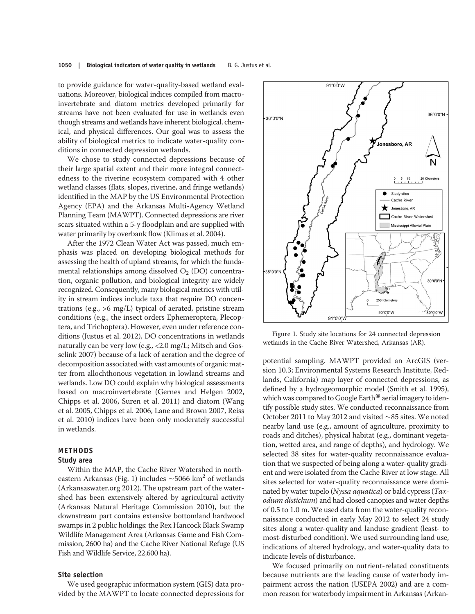to provide guidance for water-quality-based wetland evaluations. Moreover, biological indices compiled from macroinvertebrate and diatom metrics developed primarily for streams have not been evaluated for use in wetlands even though streams and wetlands have inherent biological, chemical, and physical differences. Our goal was to assess the ability of biological metrics to indicate water-quality conditions in connected depression wetlands.

We chose to study connected depressions because of their large spatial extent and their more integral connectedness to the riverine ecosystem compared with 4 other wetland classes (flats, slopes, riverine, and fringe wetlands) identified in the MAP by the US Environmental Protection Agency (EPA) and the Arkansas Multi-Agency Wetland Planning Team (MAWPT). Connected depressions are river scars situated within a 5-y floodplain and are supplied with water primarily by overbank flow (Klimas et al. 2004).

After the 1972 Clean Water Act was passed, much emphasis was placed on developing biological methods for assessing the health of upland streams, for which the fundamental relationships among dissolved  $O<sub>2</sub>$  (DO) concentration, organic pollution, and biological integrity are widely recognized. Consequently, many biological metrics with utility in stream indices include taxa that require DO concentrations (e.g., >6 mg/L) typical of aerated, pristine stream conditions (e.g., the insect orders Ephemeroptera, Plecoptera, and Trichoptera). However, even under reference conditions (Justus et al. 2012), DO concentrations in wetlands naturally can be very low (e.g., <2.0 mg/L; Mitsch and Gosselink 2007) because of a lack of aeration and the degree of decomposition associated with vast amounts of organic matter from allochthonous vegetation in lowland streams and wetlands. Low DO could explain why biological assessments based on macroinvertebrate (Gernes and Helgen 2002, Chipps et al. 2006, Suren et al. 2011) and diatom (Wang et al. 2005, Chipps et al. 2006, Lane and Brown 2007, Reiss et al. 2010) indices have been only moderately successful in wetlands.

## METHODS

## Study area

Within the MAP, the Cache River Watershed in northeastern Arkansas (Fig. 1) includes  $\sim$ 5066 km<sup>2</sup> of wetlands (Arkansaswater.org 2012). The upstream part of the watershed has been extensively altered by agricultural activity (Arkansas Natural Heritage Commission 2010), but the downstream part contains extensive bottomland hardwood swamps in 2 public holdings: the Rex Hancock Black Swamp Wildlife Management Area (Arkansas Game and Fish Commission, 2600 ha) and the Cache River National Refuge (US Fish and Wildlife Service, 22,600 ha).

#### Site selection

We used geographic information system (GIS) data provided by the MAWPT to locate connected depressions for



Figure 1. Study site locations for 24 connected depression wetlands in the Cache River Watershed, Arkansas (AR).

potential sampling. MAWPT provided an ArcGIS (version 10.3; Environmental Systems Research Institute, Redlands, California) map layer of connected depressions, as defined by a hydrogeomorphic model (Smith et al. 1995), which was compared to Google Earth<sup>®</sup> aerial imagery to identify possible study sites. We conducted reconnaissance from October 2011 to May 2012 and visited ∼85 sites. We noted nearby land use (e.g., amount of agriculture, proximity to roads and ditches), physical habitat (e.g., dominant vegetation, wetted area, and range of depths), and hydrology. We selected 38 sites for water-quality reconnaissance evaluation that we suspected of being along a water-quality gradient and were isolated from the Cache River at low stage. All sites selected for water-quality reconnaissance were dominated by water tupelo (Nyssa aquatica) or bald cypress (Taxodium distichum) and had closed canopies and water depths of 0.5 to 1.0 m. We used data from the water-quality reconnaissance conducted in early May 2012 to select 24 study sites along a water-quality and landuse gradient (least- to most-disturbed condition). We used surrounding land use, indications of altered hydrology, and water-quality data to indicate levels of disturbance.

We focused primarily on nutrient-related constituents because nutrients are the leading cause of waterbody impairment across the nation (USEPA 2002) and are a common reason for waterbody impairment in Arkansas (Arkan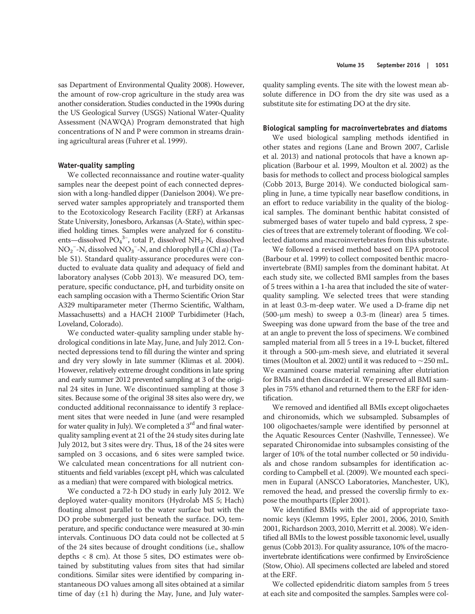sas Department of Environmental Quality 2008). However, the amount of row-crop agriculture in the study area was another consideration. Studies conducted in the 1990s during the US Geological Survey (USGS) National Water-Quality Assessment (NAWQA) Program demonstrated that high concentrations of N and P were common in streams draining agricultural areas (Fuhrer et al. 1999).

## Water-quality sampling

We collected reconnaissance and routine water-quality samples near the deepest point of each connected depression with a long-handled dipper (Danielson 2004). We preserved water samples appropriately and transported them to the Ecotoxicology Research Facility (ERF) at Arkansas State University, Jonesboro, Arkansas (A-State), within specified holding times. Samples were analyzed for 6 constituents—dissolved PO<sub>4</sub><sup>3−</sup>, total P, dissolved NH<sub>3</sub>-N, dissolved  $NO_2$ <sup>-</sup>-N, dissolved  $NO_3$ <sup>-</sup>-N, and chlorophyll *a* (Chl *a*) (Table S1). Standard quality-assurance procedures were conducted to evaluate data quality and adequacy of field and laboratory analyses (Cobb 2013). We measured DO, temperature, specific conductance, pH, and turbidity onsite on each sampling occasion with a Thermo Scientific Orion Star A329 multiparameter meter (Thermo Scientific, Waltham, Massachusetts) and a HACH 2100P Turbidimeter (Hach, Loveland, Colorado).

We conducted water-quality sampling under stable hydrological conditions in late May, June, and July 2012. Connected depressions tend to fill during the winter and spring and dry very slowly in late summer (Klimas et al. 2004). However, relatively extreme drought conditions in late spring and early summer 2012 prevented sampling at 3 of the original 24 sites in June. We discontinued sampling at those 3 sites. Because some of the original 38 sites also were dry, we conducted additional reconnaissance to identify 3 replacement sites that were needed in June (and were resampled for water quality in July). We completed a  $3<sup>rd</sup>$  and final waterquality sampling event at 21 of the 24 study sites during late July 2012, but 3 sites were dry. Thus, 18 of the 24 sites were sampled on 3 occasions, and 6 sites were sampled twice. We calculated mean concentrations for all nutrient constituents and field variables (except pH, which was calculated as a median) that were compared with biological metrics.

We conducted a 72-h DO study in early July 2012. We deployed water-quality monitors (Hydrolab MS 5; Hach) floating almost parallel to the water surface but with the DO probe submerged just beneath the surface. DO, temperature, and specific conductance were measured at 30-min intervals. Continuous DO data could not be collected at 5 of the 24 sites because of drought conditions (i.e., shallow depths < 8 cm). At those 5 sites, DO estimates were obtained by substituting values from sites that had similar conditions. Similar sites were identified by comparing instantaneous DO values among all sites obtained at a similar time of day  $(\pm 1 \text{ h})$  during the May, June, and July waterquality sampling events. The site with the lowest mean absolute difference in DO from the dry site was used as a substitute site for estimating DO at the dry site.

## Biological sampling for macroinvertebrates and diatoms

We used biological sampling methods identified in other states and regions (Lane and Brown 2007, Carlisle et al. 2013) and national protocols that have a known application (Barbour et al. 1999, Moulton et al. 2002) as the basis for methods to collect and process biological samples (Cobb 2013, Burge 2014). We conducted biological sampling in June, a time typically near baseflow conditions, in an effort to reduce variability in the quality of the biological samples. The dominant benthic habitat consisted of submerged bases of water tupelo and bald cypress, 2 species of trees that are extremely tolerant of flooding. We collected diatoms and macroinvertebrates from this substrate.

We followed a revised method based on EPA protocol (Barbour et al. 1999) to collect composited benthic macroinvertebrate (BMI) samples from the dominant habitat. At each study site, we collected BMI samples from the bases of 5 trees within a 1-ha area that included the site of waterquality sampling. We selected trees that were standing in at least 0.3-m-deep water. We used a D-frame dip net (500-μm mesh) to sweep a 0.3-m (linear) area 5 times. Sweeping was done upward from the base of the tree and at an angle to prevent the loss of specimens. We combined sampled material from all 5 trees in a 19-L bucket, filtered it through a 500-μm-mesh sieve, and elutriated it several times (Moulton et al. 2002) until it was reduced to ∼250 mL. We examined coarse material remaining after elutriation for BMIs and then discarded it. We preserved all BMI samples in 75% ethanol and returned them to the ERF for identification.

We removed and identified all BMIs except oligochaetes and chironomids, which we subsampled. Subsamples of 100 oligochaetes/sample were identified by personnel at the Aquatic Resources Center (Nashville, Tennessee). We separated Chironomidae into subsamples consisting of the larger of 10% of the total number collected or 50 individuals and chose random subsamples for identification according to Campbell et al. (2009). We mounted each specimen in Euparal (ANSCO Laboratories, Manchester, UK), removed the head, and pressed the coverslip firmly to expose the mouthparts (Epler 2001).

We identified BMIs with the aid of appropriate taxonomic keys (Klemm 1995, Epler 2001, 2006, 2010, Smith 2001, Richardson 2003, 2010, Merritt et al. 2008). We identified all BMIs to the lowest possible taxonomic level, usually genus (Cobb 2013). For quality assurance, 10% of the macroinvertebrate identifications were confirmed by EnviroScience (Stow, Ohio). All specimens collected are labeled and stored at the ERF.

We collected epidendritic diatom samples from 5 trees at each site and composited the samples. Samples were col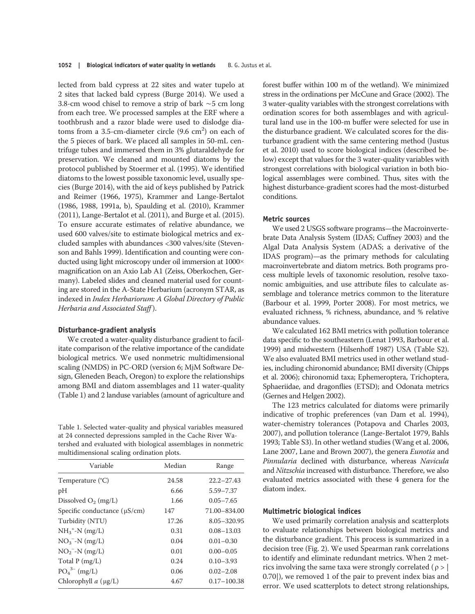lected from bald cypress at 22 sites and water tupelo at 2 sites that lacked bald cypress (Burge 2014). We used a 3.8-cm wood chisel to remove a strip of bark ∼5 cm long from each tree. We processed samples at the ERF where a toothbrush and a razor blade were used to dislodge diatoms from a 3.5-cm-diameter circle  $(9.6 \text{ cm}^2)$  on each of the 5 pieces of bark. We placed all samples in 50-mL centrifuge tubes and immersed them in 3% glutaraldehyde for preservation. We cleaned and mounted diatoms by the protocol published by Stoermer et al. (1995). We identified diatoms to the lowest possible taxonomic level, usually species (Burge 2014), with the aid of keys published by Patrick and Reimer (1966, 1975), Krammer and Lange-Bertalot (1986, 1988, 1991a, b), Spaulding et al. (2010), Krammer (2011), Lange-Bertalot et al. (2011), and Burge et al. (2015). To ensure accurate estimates of relative abundance, we used 600 valves/site to estimate biological metrics and excluded samples with abundances <300 valves/site (Stevenson and Bahls 1999). Identification and counting were conducted using light microscopy under oil immersion at 1000× magnification on an Axio Lab A1 (Zeiss, Oberkochen, Germany). Labeled slides and cleaned material used for counting are stored in the A-State Herbarium (acronym STAR, as indexed in Index Herbariorum: A Global Directory of Public Herbaria and Associated Staff).

## Disturbance-gradient analysis

We created a water-quality disturbance gradient to facilitate comparison of the relative importance of the candidate biological metrics. We used nonmetric multidimensional scaling (NMDS) in PC-ORD (version 6; MjM Software Design, Gleneden Beach, Oregon) to explore the relationships among BMI and diatom assemblages and 11 water-quality (Table 1) and 2 landuse variables (amount of agriculture and

Table 1. Selected water-quality and physical variables measured at 24 connected depressions sampled in the Cache River Watershed and evaluated with biological assemblages in nonmetric multidimensional scaling ordination plots.

| Variable                          | Median | Range           |
|-----------------------------------|--------|-----------------|
| Temperature (°C)                  | 24.58  | $22.2 - 27.43$  |
| pH                                | 6.66   | 5.59 - 7.37     |
| Dissolved $O_2$ (mg/L)            | 1.66   | $0.05 - 7.65$   |
| Specific conductance $(\mu S/cm)$ | 147    | 71.00-834.00    |
| Turbidity (NTU)                   | 17.26  | 8.05-320.95     |
| $NH_3^+$ -N (mg/L)                | 0.31   | $0.08 - 13.03$  |
| $NO3--N$ (mg/L)                   | 0.04   | $0.01 - 0.30$   |
| $NO2--N$ (mg/L)                   | 0.01   | $0.00 - 0.05$   |
| Total $P$ (mg/L)                  | 0.24   | $0.10 - 3.93$   |
| $PO_4^{3-}$ (mg/L)                | 0.06   | $0.02 - 2.08$   |
| Chlorophyll $a$ ( $\mu$ g/L)      | 4.67   | $0.17 - 100.38$ |
|                                   |        |                 |

forest buffer within 100 m of the wetland). We minimized stress in the ordinations per McCune and Grace (2002). The 3 water-quality variables with the strongest correlations with ordination scores for both assemblages and with agricultural land use in the 100-m buffer were selected for use in the disturbance gradient. We calculated scores for the disturbance gradient with the same centering method (Justus et al. 2010) used to score biological indices (described below) except that values for the 3 water-quality variables with strongest correlations with biological variation in both biological assemblages were combined. Thus, sites with the highest disturbance-gradient scores had the most-disturbed conditions.

#### Metric sources

We used 2 USGS software programs—the Macroinvertebrate Data Analysis System (IDAS; Cuffney 2003) and the Algal Data Analysis System (ADAS; a derivative of the IDAS program)—as the primary methods for calculating macroinvertebrate and diatom metrics. Both programs process multiple levels of taxonomic resolution, resolve taxonomic ambiguities, and use attribute files to calculate assemblage and tolerance metrics common to the literature (Barbour et al. 1999, Porter 2008). For most metrics, we evaluated richness, % richness, abundance, and % relative abundance values.

We calculated 162 BMI metrics with pollution tolerance data specific to the southeastern (Lenat 1993, Barbour et al. 1999) and midwestern (Hilsenhoff 1987) USA (Table S2). We also evaluated BMI metrics used in other wetland studies, including chironomid abundance; BMI diversity (Chipps et al. 2006); chironomid taxa; Ephemeroptera, Trichoptera, Sphaeriidae, and dragonflies (ETSD); and Odonata metrics (Gernes and Helgen 2002).

The 123 metrics calculated for diatoms were primarily indicative of trophic preferences (van Dam et al. 1994), water-chemistry tolerances (Potapova and Charles 2003, 2007), and pollution tolerance (Lange-Bertalot 1979, Bahls 1993; Table S3). In other wetland studies (Wang et al. 2006, Lane 2007, Lane and Brown 2007), the genera Eunotia and Pinnularia declined with disturbance, whereas Navicula and Nitzschia increased with disturbance. Therefore, we also evaluated metrics associated with these 4 genera for the diatom index.

## Multimetric biological indices

We used primarily correlation analysis and scatterplots to evaluate relationships between biological metrics and the disturbance gradient. This process is summarized in a decision tree (Fig. 2). We used Spearman rank correlations to identify and eliminate redundant metrics. When 2 metrics involving the same taxa were strongly correlated ( $\rho$  > | 0.70|), we removed 1 of the pair to prevent index bias and error. We used scatterplots to detect strong relationships,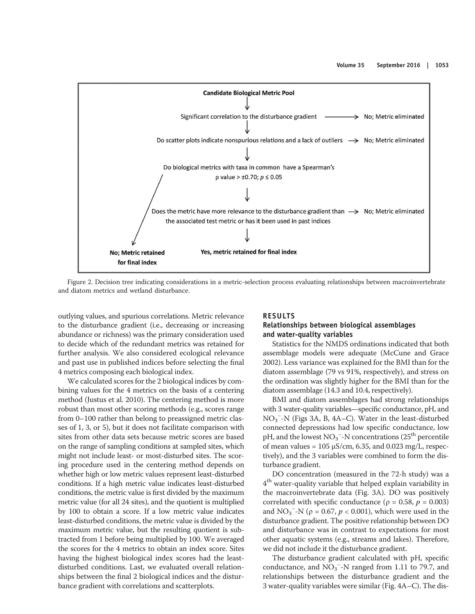

Figure 2. Decision tree indicating considerations in a metric-selection process evaluating relationships between macroinvertebrate and diatom metrics and wetland disturbance.

outlying values, and spurious correlations. Metric relevance to the disturbance gradient (i.e., decreasing or increasing abundance or richness) was the primary consideration used to decide which of the redundant metrics was retained for further analysis. We also considered ecological relevance and past use in published indices before selecting the final 4 metrics composing each biological index.

We calculated scores for the 2 biological indices by combining values for the 4 metrics on the basis of a centering method (Justus et al. 2010). The centering method is more robust than most other scoring methods (e.g., scores range from 0–100 rather than belong to preassigned metric classes of 1, 3, or 5), but it does not facilitate comparison with sites from other data sets because metric scores are based on the range of sampling conditions at sampled sites, which might not include least- or most-disturbed sites. The scoring procedure used in the centering method depends on whether high or low metric values represent least-disturbed conditions. If a high metric value indicates least-disturbed conditions, the metric value is first divided by the maximum metric value (for all 24 sites), and the quotient is multiplied by 100 to obtain a score. If a low metric value indicates least-disturbed conditions, the metric value is divided by the maximum metric value, but the resulting quotient is subtracted from 1 before being multiplied by 100. We averaged the scores for the 4 metrics to obtain an index score. Sites having the highest biological index scores had the leastdisturbed conditions. Last, we evaluated overall relationships between the final 2 biological indices and the disturbance gradient with correlations and scatterplots.

## RESULTS

## Relationships between biological assemblages and water-quality variables

Statistics for the NMDS ordinations indicated that both assemblage models were adequate (McCune and Grace 2002). Less variance was explained for the BMI than for the diatom assemblage (79 vs 91%, respectively), and stress on the ordination was slightly higher for the BMI than for the diatom assemblage (14.3 and 10.4, respectively).

BMI and diatom assemblages had strong relationships with 3 water-quality variables—specific conductance, pH, and NO3 − -N (Figs 3A, B, 4A–C). Water in the least-disturbed connected depressions had low specific conductance, low pH, and the lowest  $NO_3^-$ -N concentrations (25<sup>th</sup> percentile of mean values =  $105 \mu\text{S/cm}$ , 6.35, and 0.023 mg/L, respectively), and the 3 variables were combined to form the disturbance gradient.

DO concentration (measured in the 72-h study) was a  $4<sup>th</sup>$  water-quality variable that helped explain variability in the macroinvertebrate data (Fig. 3A). DO was positively correlated with specific conductance ( $\rho = 0.58$ ,  $p = 0.003$ ) and  $NO<sub>3</sub><sup>-</sup>-N$  ( $\rho = 0.67$ ,  $p < 0.001$ ), which were used in the disturbance gradient. The positive relationship between DO and disturbance was in contrast to expectations for most other aquatic systems (e.g., streams and lakes). Therefore, we did not include it the disturbance gradient.

The disturbance gradient calculated with pH, specific conductance, and  $\overline{NO_3}^-$ -N ranged from 1.11 to 79.7, and relationships between the disturbance gradient and the 3 water-quality variables were similar (Fig. 4A–C). The dis-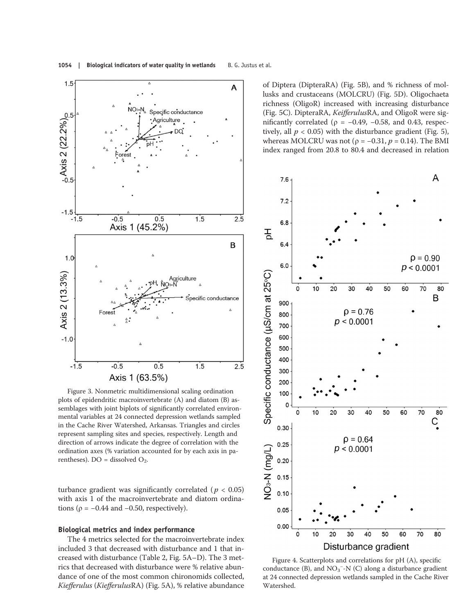

Figure 3. Nonmetric multidimensional scaling ordination plots of epidendritic macroinvertebrate (A) and diatom (B) assemblages with joint biplots of significantly correlated environmental variables at 24 connected depression wetlands sampled in the Cache River Watershed, Arkansas. Triangles and circles represent sampling sites and species, respectively. Length and direction of arrows indicate the degree of correlation with the ordination axes (% variation accounted for by each axis in parentheses).  $DO = dissolved O<sub>2</sub>$ .

turbance gradient was significantly correlated ( $p < 0.05$ ) with axis 1 of the macroinvertebrate and diatom ordinations ( $\rho = -0.44$  and  $-0.50$ , respectively).

## Biological metrics and index performance

The 4 metrics selected for the macroinvertebrate index included 3 that decreased with disturbance and 1 that increased with disturbance (Table 2, Fig. 5A–D). The 3 metrics that decreased with disturbance were % relative abundance of one of the most common chironomids collected, Kiefferulus (KiefferulusRA) (Fig. 5A), % relative abundance of Diptera (DipteraRA) (Fig. 5B), and % richness of mollusks and crustaceans (MOLCRU) (Fig. 5D). Oligochaeta richness (OligoR) increased with increasing disturbance (Fig. 5C). DipteraRA, KeifferulusRA, and OligoR were significantly correlated ( $\rho = -0.49, -0.58$ , and 0.43, respectively, all  $p < 0.05$ ) with the disturbance gradient (Fig. 5), whereas MOLCRU was not ( $\rho = -0.31$ ,  $p = 0.14$ ). The BMI index ranged from 20.8 to 80.4 and decreased in relation



Figure 4. Scatterplots and correlations for pH (A), specific conductance (B), and NO<sub>3</sub><sup>-</sup>-N (C) along a disturbance gradient at 24 connected depression wetlands sampled in the Cache River Watershed.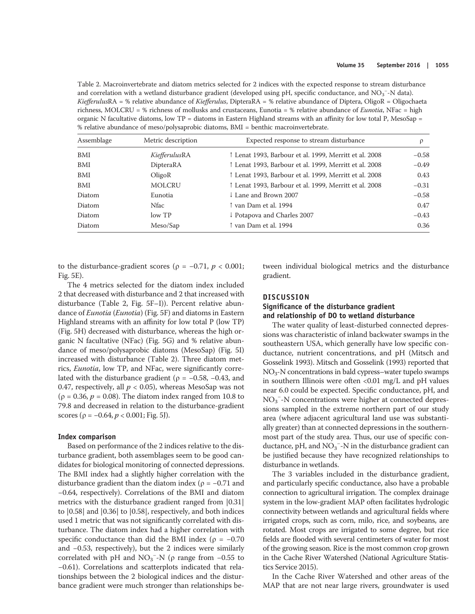Table 2. Macroinvertebrate and diatom metrics selected for 2 indices with the expected response to stream disturbance and correlation with a wetland disturbance gradient (developed using pH, specific conductance, and NO<sub>3</sub><sup>-</sup>-N data). KiefferulusRA = % relative abundance of Kiefferulus, DipteraRA = % relative abundance of Diptera, OligoR = Oligochaeta richness, MOLCRU = % richness of mollusks and crustaceans, Eunotia = % relative abundance of Eunotia, NFac = high organic N facultative diatoms, low  $TP =$  diatoms in Eastern Highland streams with an affinity for low total P, MesoSap = % relative abundance of meso/polysaprobic diatoms, BMI = benthic macroinvertebrate.

| Assemblage | Metric description | Expected response to stream disturbance              | ρ       |
|------------|--------------------|------------------------------------------------------|---------|
| <b>BMI</b> | KiefferulusRA      | Lenat 1993, Barbour et al. 1999, Merritt et al. 2008 | $-0.58$ |
| BMI        | DipteraRA          | Lenat 1993, Barbour et al. 1999, Merritt et al. 2008 | $-0.49$ |
| <b>BMI</b> | OligoR             | Lenat 1993, Barbour et al. 1999, Merritt et al. 2008 | 0.43    |
| <b>BMI</b> | <b>MOLCRU</b>      | Lenat 1993, Barbour et al. 1999, Merritt et al. 2008 | $-0.31$ |
| Diatom     | Eunotia            | Lane and Brown 2007                                  | $-0.58$ |
| Diatom     | Nfac               | ↑ van Dam et al. 1994)                               | 0.47    |
| Diatom     | low TP             | ↓ Potapova and Charles 2007                          | $-0.43$ |
| Diatom     | Meso/Sap           | ↑ van Dam et al. 1994                                | 0.36    |

to the disturbance-gradient scores ( $\rho = -0.71$ ,  $p < 0.001$ ; Fig. 5E).

The 4 metrics selected for the diatom index included 2 that decreased with disturbance and 2 that increased with disturbance (Table 2, Fig. 5F–I)). Percent relative abundance of Eunotia (Eunotia) (Fig. 5F) and diatoms in Eastern Highland streams with an affinity for low total P (low TP) (Fig. 5H) decreased with disturbance, whereas the high organic N facultative (NFac) (Fig. 5G) and % relative abundance of meso/polysaprobic diatoms (MesoSap) (Fig. 5I) increased with disturbance (Table 2). Three diatom metrics, Eunotia, low TP, and NFac, were significantly correlated with the disturbance gradient ( $\rho = -0.58$ , -0.43, and 0.47, respectively, all  $p < 0.05$ ), whereas MesoSap was not ( $\rho$  = 0.36,  $p$  = 0.08). The diatom index ranged from 10.8 to 79.8 and decreased in relation to the disturbance-gradient scores ( $p = -0.64$ ,  $p < 0.001$ ; Fig. 5J).

#### Index comparison

Based on performance of the 2 indices relative to the disturbance gradient, both assemblages seem to be good candidates for biological monitoring of connected depressions. The BMI index had a slightly higher correlation with the disturbance gradient than the diatom index ( $\rho = -0.71$  and −0.64, respectively). Correlations of the BMI and diatom metrics with the disturbance gradient ranged from |0.31| to |0.58| and |0.36| to |0.58|, respectively, and both indices used 1 metric that was not significantly correlated with disturbance. The diatom index had a higher correlation with specific conductance than did the BMI index ( $\rho = -0.70$ and −0.53, respectively), but the 2 indices were similarly correlated with pH and  $NO<sub>3</sub><sup>-</sup>-N$  (ρ range from -0.55 to −0.61). Correlations and scatterplots indicated that relationships between the 2 biological indices and the disturbance gradient were much stronger than relationships between individual biological metrics and the disturbance gradient.

#### **DISCUSSION**

## Significance of the disturbance gradient and relationship of DO to wetland disturbance

The water quality of least-disturbed connected depressions was characteristic of inland backwater swamps in the southeastern USA, which generally have low specific conductance, nutrient concentrations, and pH (Mitsch and Gosselink 1993). Mitsch and Gosselink (1993) reported that  $NO<sub>3</sub>$ -N concentrations in bald cypress–water tupelo swamps in southern Illinois were often <0.01 mg/L and pH values near 6.0 could be expected. Specific conductance, pH, and NO<sub>3</sub><sup>-</sup>-N concentrations were higher at connected depressions sampled in the extreme northern part of our study area (where adjacent agricultural land use was substantially greater) than at connected depressions in the southernmost part of the study area. Thus, our use of specific conductance, pH, and  $\overline{NO_3}^-$ -N in the disturbance gradient can be justified because they have recognized relationships to disturbance in wetlands.

The 3 variables included in the disturbance gradient, and particularly specific conductance, also have a probable connection to agricultural irrigation. The complex drainage system in the low-gradient MAP often facilitates hydrologic connectivity between wetlands and agricultural fields where irrigated crops, such as corn, milo, rice, and soybeans, are rotated. Most crops are irrigated to some degree, but rice fields are flooded with several centimeters of water for most of the growing season. Rice is the most common crop grown in the Cache River Watershed (National Agriculture Statistics Service 2015).

In the Cache River Watershed and other areas of the MAP that are not near large rivers, groundwater is used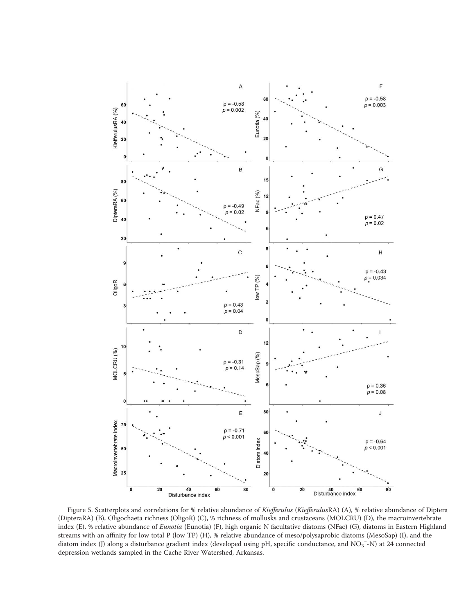

Figure 5. Scatterplots and correlations for % relative abundance of Kiefferulus (KiefferulusRA) (A), % relative abundance of Diptera (DipteraRA) (B), Oligochaeta richness (OligoR) (C), % richness of mollusks and crustaceans (MOLCRU) (D), the macroinvertebrate index (E), % relative abundance of Eunotia (Eunotia) (F), high organic N facultative diatoms (NFac) (G), diatoms in Eastern Highland streams with an affinity for low total P (low TP) (H), % relative abundance of meso/polysaprobic diatoms (MesoSap) (I), and the diatom index (J) along a disturbance gradient index (developed using pH, specific conductance, and NO<sub>3</sub><sup>-</sup>-N) at 24 connected depression wetlands sampled in the Cache River Watershed, Arkansas.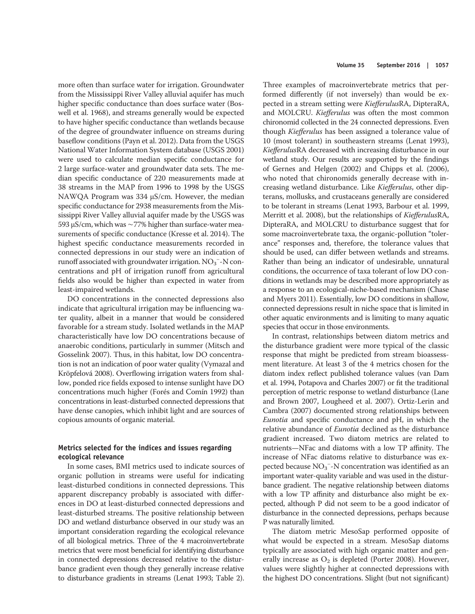more often than surface water for irrigation. Groundwater from the Mississippi River Valley alluvial aquifer has much higher specific conductance than does surface water (Boswell et al. 1968), and streams generally would be expected to have higher specific conductance than wetlands because of the degree of groundwater influence on streams during baseflow conditions (Payn et al. 2012). Data from the USGS National Water Information System database (USGS 2001) were used to calculate median specific conductance for 2 large surface-water and groundwater data sets. The median specific conductance of 220 measurements made at 38 streams in the MAP from 1996 to 1998 by the USGS NAWQA Program was 334 μS/cm. However, the median specific conductance for 2938 measurements from the Mississippi River Valley alluvial aquifer made by the USGS was 593 μS/cm, which was ∼77% higher than surface-water measurements of specific conductance (Kresse et al. 2014). The highest specific conductance measurements recorded in connected depressions in our study were an indication of runoff associated with groundwater irrigation. NO<sub>3</sub><sup>-</sup>-N concentrations and pH of irrigation runoff from agricultural fields also would be higher than expected in water from least-impaired wetlands.

DO concentrations in the connected depressions also indicate that agricultural irrigation may be influencing water quality, albeit in a manner that would be considered favorable for a stream study. Isolated wetlands in the MAP characteristically have low DO concentrations because of anaerobic conditions, particularly in summer (Mitsch and Gosselink 2007). Thus, in this habitat, low DO concentration is not an indication of poor water quality (Vymazal and Kröpfelová 2008). Overflowing irrigation waters from shallow, ponded rice fields exposed to intense sunlight have DO concentrations much higher (Forés and Comín 1992) than concentrations in least-disturbed connected depressions that have dense canopies, which inhibit light and are sources of copious amounts of organic material.

## Metrics selected for the indices and issues regarding ecological relevance

In some cases, BMI metrics used to indicate sources of organic pollution in streams were useful for indicating least-disturbed conditions in connected depressions. This apparent discrepancy probably is associated with differences in DO at least-disturbed connected depressions and least-disturbed streams. The positive relationship between DO and wetland disturbance observed in our study was an important consideration regarding the ecological relevance of all biological metrics. Three of the 4 macroinvertebrate metrics that were most beneficial for identifying disturbance in connected depressions decreased relative to the disturbance gradient even though they generally increase relative to disturbance gradients in streams (Lenat 1993; Table 2). Three examples of macroinvertebrate metrics that performed differently (if not inversely) than would be expected in a stream setting were KiefferulusRA, DipteraRA, and MOLCRU. Kiefferulus was often the most common chironomid collected in the 24 connected depressions. Even though Kiefferulus has been assigned a tolerance value of 10 (most tolerant) in southeastern streams (Lenat 1993), KiefferulusRA decreased with increasing disturbance in our wetland study. Our results are supported by the findings of Gernes and Helgen (2002) and Chipps et al. (2006), who noted that chironomids generally decrease with increasing wetland disturbance. Like Kiefferulus, other dipterans, mollusks, and crustaceans generally are considered to be tolerant in streams (Lenat 1993, Barbour et al. 1999, Merritt et al. 2008), but the relationships of KiefferulusRA, DipteraRA, and MOLCRU to disturbance suggest that for some macroinvertebrate taxa, the organic-pollution "tolerance" responses and, therefore, the tolerance values that should be used, can differ between wetlands and streams. Rather than being an indicator of undesirable, unnatural conditions, the occurrence of taxa tolerant of low DO conditions in wetlands may be described more appropriately as a response to an ecological-niche-based mechanism (Chase and Myers 2011). Essentially, low DO conditions in shallow, connected depressions result in niche space that is limited in other aquatic environments and is limiting to many aquatic species that occur in those environments.

In contrast, relationships between diatom metrics and the disturbance gradient were more typical of the classic response that might be predicted from stream bioassessment literature. At least 3 of the 4 metrics chosen for the diatom index reflect published tolerance values (van Dam et al. 1994, Potapova and Charles 2007) or fit the traditional perception of metric response to wetland disturbance (Lane and Brown 2007, Lougheed et al. 2007). Ortiz-Lerin and Cambra (2007) documented strong relationships between Eunotia and specific conductance and pH, in which the relative abundance of Eunotia declined as the disturbance gradient increased. Two diatom metrics are related to nutrients—NFac and diatoms with a low TP affinity. The increase of NFac diatoms relative to disturbance was expected because  $\text{NO}_3$ <sup>-</sup>-N concentration was identified as an important water-quality variable and was used in the disturbance gradient. The negative relationship between diatoms with a low TP affinity and disturbance also might be expected, although P did not seem to be a good indicator of disturbance in the connected depressions, perhaps because P was naturally limited.

The diatom metric MesoSap performed opposite of what would be expected in a stream. MesoSap diatoms typically are associated with high organic matter and generally increase as  $O_2$  is depleted (Porter 2008). However, values were slightly higher at connected depressions with the highest DO concentrations. Slight (but not significant)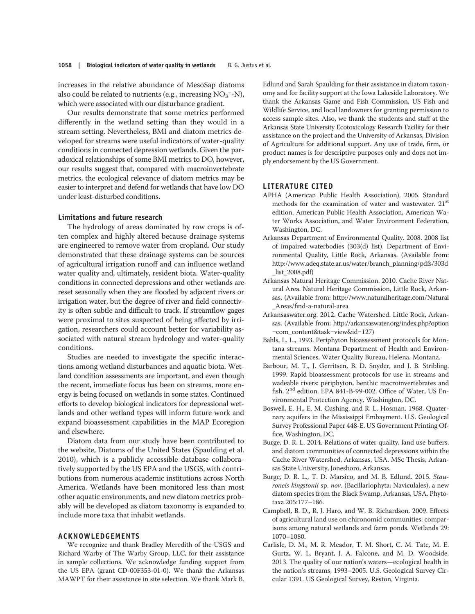increases in the relative abundance of MesoSap diatoms also could be related to nutrients (e.g., increasing  $\overline{\text{NO}_3}^{-1}$ N), which were associated with our disturbance gradient.

Our results demonstrate that some metrics performed differently in the wetland setting than they would in a stream setting. Nevertheless, BMI and diatom metrics developed for streams were useful indicators of water-quality conditions in connected depression wetlands. Given the paradoxical relationships of some BMI metrics to DO, however, our results suggest that, compared with macroinvertebrate metrics, the ecological relevance of diatom metrics may be easier to interpret and defend for wetlands that have low DO under least-disturbed conditions.

## Limitations and future research

The hydrology of areas dominated by row crops is often complex and highly altered because drainage systems are engineered to remove water from cropland. Our study demonstrated that these drainage systems can be sources of agricultural irrigation runoff and can influence wetland water quality and, ultimately, resident biota. Water-quality conditions in connected depressions and other wetlands are reset seasonally when they are flooded by adjacent rivers or irrigation water, but the degree of river and field connectivity is often subtle and difficult to track. If streamflow gages were proximal to sites suspected of being affected by irrigation, researchers could account better for variability associated with natural stream hydrology and water-quality conditions.

Studies are needed to investigate the specific interactions among wetland disturbances and aquatic biota. Wetland condition assessments are important, and even though the recent, immediate focus has been on streams, more energy is being focused on wetlands in some states. Continued efforts to develop biological indicators for depressional wetlands and other wetland types will inform future work and expand bioassessment capabilities in the MAP Ecoregion and elsewhere.

Diatom data from our study have been contributed to the website, Diatoms of the United States (Spaulding et al. 2010), which is a publicly accessible database collaboratively supported by the US EPA and the USGS, with contributions from numerous academic institutions across North America. Wetlands have been monitored less than most other aquatic environments, and new diatom metrics probably will be developed as diatom taxonomy is expanded to include more taxa that inhabit wetlands.

## ACKNOWLEDGEMENTS

We recognize and thank Bradley Meredith of the USGS and Richard Warby of The Warby Group, LLC, for their assistance in sample collections. We acknowledge funding support from the US EPA (grant CD-00F353-01-0). We thank the Arkansas MAWPT for their assistance in site selection. We thank Mark B.

Edlund and Sarah Spaulding for their assistance in diatom taxonomy and for facility support at the Iowa Lakeside Laboratory. We thank the Arkansas Game and Fish Commission, US Fish and Wildlife Service, and local landowners for granting permission to access sample sites. Also, we thank the students and staff at the Arkansas State University Ecotoxicology Research Facility for their assistance on the project and the University of Arkansas, Division of Agriculture for additional support. Any use of trade, firm, or product names is for descriptive purposes only and does not imply endorsement by the US Government.

## LITERATURE CITED

- APHA (American Public Health Association). 2005. Standard methods for the examination of water and wastewater. 21<sup>st</sup> edition. American Public Health Association, American Water Works Association, and Water Environment Federation, Washington, DC.
- Arkansas Department of Environmental Quality. 2008. 2008 list of impaired waterbodies (303(d) list). Department of Environmental Quality, Little Rock, Arkansas. (Available from: http://www.adeq.state.ar.us/water/branch\_planning/pdfs/303d \_list\_2008.pdf)
- Arkansas Natural Heritage Commission. 2010. Cache River Natural Area. Natural Heritage Commission, Little Rock, Arkansas. (Available from: http://www.naturalheritage.com/Natural \_Areas/find-a-natural-area
- Arkansaswater.org. 2012. Cache Watershed. Little Rock, Arkansas. (Available from: http://arkansaswater.org/index.php?option =com\_content&task=view&id=127)
- Bahls, L. L., 1993. Periphyton bioassessment protocols for Montana streams. Montana Department of Health and Environmental Sciences, Water Quality Bureau, Helena, Montana.
- Barbour, M. T., J. Gerritsen, B. D. Snyder, and J. B. Stribling. 1999. Rapid bioassessment protocols for use in streams and wadeable rivers: periphyton, benthic macroinvertebrates and fish. 2<sup>nd</sup> edition. EPA 841-B-99-002. Office of Water, US Environmental Protection Agency, Washington, DC.
- Boswell, E. H., E. M. Cushing, and R. L. Hosman. 1968. Quaternary aquifers in the Mississippi Embayment. U.S. Geological Survey Professional Paper 448-E. US Government Printing Office, Washington, DC.
- Burge, D. R. L. 2014. Relations of water quality, land use buffers, and diatom communities of connected depressions within the Cache River Watershed, Arkansas, USA. MSc Thesis, Arkansas State University, Jonesboro, Arkansas.
- Burge, D. R. L., T. D. Marsico, and M. B. Edlund. 2015. Stauroneis kingstonii sp. nov. (Bacillariophyta: Naviculales), a new diatom species from the Black Swamp, Arkansas, USA. Phytotaxa 205:177–186.
- Campbell, B. D., R. J. Haro, and W. B. Richardson. 2009. Effects of agricultural land use on chironomid communities: comparisons among natural wetlands and farm ponds. Wetlands 29: 1070–1080.
- Carlisle, D. M., M. R. Meador, T. M. Short, C. M. Tate, M. E. Gurtz, W. L. Bryant, J. A. Falcone, and M. D. Woodside. 2013. The quality of our nation's waters—ecological health in the nation's streams, 1993–2005. U.S. Geological Survey Circular 1391. US Geological Survey, Reston, Virginia.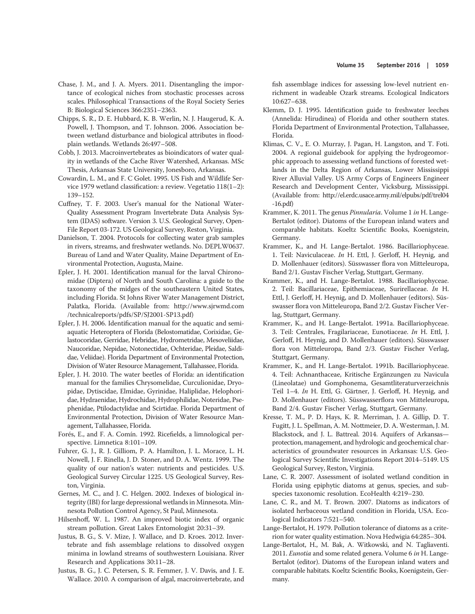- Chase, J. M., and J. A. Myers. 2011. Disentangling the importance of ecological niches from stochastic processes across scales. Philosophical Transactions of the Royal Society Series B: Biological Sciences 366:2351–2363.
- Chipps, S. R., D. E. Hubbard, K. B. Werlin, N. J. Haugerud, K. A. Powell, J. Thompson, and T. Johnson. 2006. Association between wetland disturbance and biological attributes in floodplain wetlands. Wetlands 26:497–508.
- Cobb, J. 2013. Macroinvertebrates as bioindicators of water quality in wetlands of the Cache River Watershed, Arkansas. MSc Thesis, Arkansas State University, Jonesboro, Arkansas.
- Cowardin, L. M., and F. C Golet. 1995. US Fish and Wildlife Service 1979 wetland classification: a review. Vegetatio 118(1–2): 139–152.
- Cuffney, T. F. 2003. User's manual for the National Water-Quality Assessment Program Invertebrate Data Analysis System (IDAS) software. Version 3. U.S. Geological Survey, Open-File Report 03-172. US Geological Survey, Reston, Virginia.
- Danielson, T. 2004. Protocols for collecting water grab samples in rivers, streams, and freshwater wetlands. No. DEPLW0637. Bureau of Land and Water Quality, Maine Department of Environmental Protection, Augusta, Maine.
- Epler, J. H. 2001. Identification manual for the larval Chironomidae (Diptera) of North and South Carolina: a guide to the taxonomy of the midges of the southeastern United States, including Florida. St Johns River Water Management District, Palatka, Florida. (Available from: http://www.sjrwmd.com /technicalreports/pdfs/SP/SJ2001-SP13.pdf)
- Epler, J. H. 2006. Identification manual for the aquatic and semiaquatic Heteroptera of Florida (Belostomatidae, Corixidae, Gelastocoridae, Gerridae, Hebridae, Hydrometridae, Mesoveliidae, Naucoridae, Nepidae, Notonectidae, Ochteridae, Pleidae, Saldidae, Veliidae). Florida Department of Environmental Protection, Division of Water Resource Management, Tallahassee, Florida.
- Epler, J. H. 2010. The water beetles of Florida: an identification manual for the families Chrysomelidae, Curculionidae, Dryopidae, Dytiscidae, Elmidae, Gyrinidae, Haliplidae, Helophoridae, Hydraenidae, Hydrochidae, Hydrophilidae, Noteridae, Psephenidae, Ptilodactylidae and Scirtidae. Florida Department of Environmental Protection, Division of Water Resource Management, Tallahassee, Florida.
- Forés, E., and F. A. Comín. 1992. Ricefields, a limnological perspective. Limnetica 8:101–109.
- Fuhrer, G. J., R. J. Gilliom, P. A. Hamilton, J. L. Morace, L. H. Nowell, J. F. Rinella, J. D. Stoner, and D. A. Wentz. 1999. The quality of our nation's water: nutrients and pesticides. U.S. Geological Survey Circular 1225. US Geological Survey, Reston, Virginia.
- Gernes, M. C., and J. C. Helgen. 2002. Indexes of biological integrity (IBI) for large depressional wetlands in Minnesota. Minnesota Pollution Control Agency, St Paul, Minnesota.
- Hilsenhoff, W. L. 1987. An improved biotic index of organic stream pollution. Great Lakes Entomologist 20:31–39.
- Justus, B. G., S. V. Mize, J. Wallace, and D. Kroes. 2012. Invertebrate and fish assemblage relations to dissolved oxygen minima in lowland streams of southwestern Louisiana. River Research and Applications 30:11–28.
- Justus, B. G., J. C. Petersen, S. R. Femmer, J. V. Davis, and J. E. Wallace. 2010. A comparison of algal, macroinvertebrate, and

fish assemblage indices for assessing low-level nutrient enrichment in wadeable Ozark streams. Ecological Indicators 10:627–638.

- Klemm, D. J. 1995. Identification guide to freshwater leeches (Annelida: Hirudinea) of Florida and other southern states. Florida Department of Environmental Protection, Tallahassee, Florida.
- Klimas, C. V., E. O. Murray, J. Pagan, H. Langston, and T. Foti. 2004. A regional guidebook for applying the hydrogeomorphic approach to assessing wetland functions of forested wetlands in the Delta Region of Arkansas, Lower Mississippi River Alluvial Valley. US Army Corps of Engineers Engineer Research and Development Center, Vicksburg, Mississippi. (Available from: http://el.erdc.usace.army.mil/elpubs/pdf/trel04 -16.pdf)
- Krammer, K. 2011. The genus Pinnularia. Volume 1 in H. Lange-Bertalot (editor). Diatoms of the European inland waters and comparable habitats. Koeltz Scientific Books, Koenigstein, Germany.
- Krammer, K., and H. Lange-Bertalot. 1986. Bacillariophyceae. 1. Teil: Naviculaceae. In H. Ettl, J. Gerloff, H. Heynig, and D. Mollenhauer (editors). Süsswasser flora von Mitteleuropa, Band 2/1. Gustav Fischer Verlag, Stuttgart, Germany.
- Krammer, K., and H. Lange-Bertalot. 1988. Bacillariophyceae. 2. Teil: Bacillariaceae, Epithemiaceae, Surirellaceae. In H. Ettl, J. Gerloff, H. Heynig, and D. Mollenhauer (editors). Süsswasser flora von Mitteleuropa, Band 2/2. Gustav Fischer Verlag, Stuttgart, Germany.
- Krammer, K., and H. Lange-Bertalot. 1991a. Bacillariophyceae. 3. Teil: Centrales, Fragilariaceae, Eunotiaceae. In H. Ettl, J. Gerloff, H. Heynig, and D. Mollenhauer (editors). Süsswasser flora von Mitteleuropa, Band 2/3. Gustav Fischer Verlag, Stuttgart, Germany.
- Krammer, K., and H. Lange-Bertalot. 1991b. Bacillariophyceae. 4. Teil: Achnanthaceae, Kritische Ergänzungen zu Navicula (Lineolatae) und Gomphonema, Gesamtliteraturverzeichnis Teil 1–4. In H. Ettl, G. Gärtner, J. Gerloff, H. Heynig, and D. Mollenhauer (editors). Süsswasserflora von Mitteleuropa, Band 2/4. Gustav Fischer Verlag, Stuttgart, Germany.
- Kresse, T. M., P. D. Hays, K. R. Merriman, J. A. Gillip, D. T. Fugitt, J. L. Spellman, A. M. Nottmeier, D. A. Westerman, J. M. Blackstock, and J. L. Battreal. 2014. Aquifers of Arkansas protection, management, and hydrologic and geochemical characteristics of groundwater resources in Arkansas: U.S. Geological Survey Scientific Investigations Report 2014–5149. US Geological Survey, Reston, Virginia.
- Lane, C. R. 2007. Assessment of isolated wetland condition in Florida using epiphytic diatoms at genus, species, and subspecies taxonomic resolution. EcoHealth 4:219–230.
- Lane, C. R., and M. T. Brown. 2007. Diatoms as indicators of isolated herbaceous wetland condition in Florida, USA. Ecological Indicators 7:521–540.
- Lange-Bertalot, H. 1979. Pollution tolerance of diatoms as a criterion for water quality estimation. Nova Hedwigia 64:285–304.
- Lange-Bertalot, H., M. Bak, A. Witkowski, and N. Tagliaventi. 2011. Eunotia and some related genera. Volume 6 in H. Lange-Bertalot (editor). Diatoms of the European inland waters and comparable habitats. Koeltz Scientific Books, Koenigstein, Germany.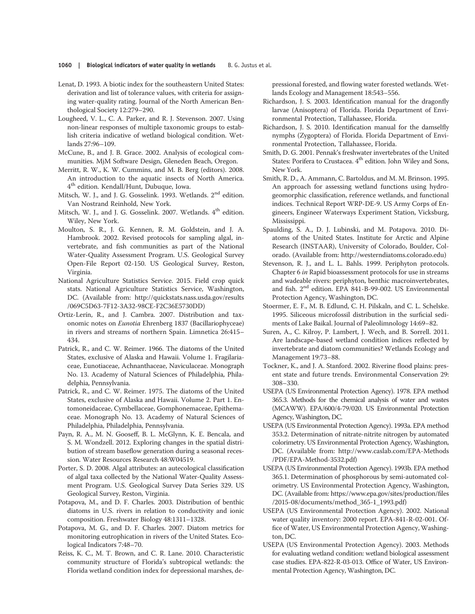#### 1060 | Biological indicators of water quality in wetlands B. G. Justus et al.

- Lenat, D. 1993. A biotic index for the southeastern United States: derivation and list of tolerance values, with criteria for assigning water-quality rating. Journal of the North American Benthological Society 12:279–290.
- Lougheed, V. L., C. A. Parker, and R. J. Stevenson. 2007. Using non-linear responses of multiple taxonomic groups to establish criteria indicative of wetland biological condition. Wetlands 27:96–109.
- McCune, B., and J. B. Grace. 2002. Analysis of ecological communities. MjM Software Design, Gleneden Beach, Oregon.
- Merritt, R. W., K. W. Cummins, and M. B. Berg (editors). 2008. An introduction to the aquatic insects of North America. 4th edition. Kendall/Hunt, Dubuque, Iowa.
- Mitsch, W. J., and J. G. Gosselink. 1993. Wetlands. 2nd edition. Van Nostrand Reinhold, New York.
- Mitsch, W. J., and J. G. Gosselink. 2007. Wetlands. 4<sup>th</sup> edition. Wiley, New York.
- Moulton, S. R., J. G. Kennen, R. M. Goldstein, and J. A. Hambrook. 2002. Revised protocols for sampling algal, invertebrate, and fish communities as part of the National Water-Quality Assessment Program. U.S. Geological Survey Open-File Report 02-150. US Geological Survey, Reston, Virginia.
- National Agriculture Statistics Service. 2015. Field crop quick stats. National Agriculture Statistics Service, Washington, DC. (Available from: http://quickstats.nass.usda.gov/results /069C5D63-7F12-3A32-98CE-F2C36E5730DD)
- Ortiz-Lerín, R., and J. Cambra. 2007. Distribution and taxonomic notes on Eunotia Ehrenberg 1837 (Bacillariophyceae) in rivers and streams of northern Spain. Limnetica 26:415– 434.
- Patrick, R., and C. W. Reimer. 1966. The diatoms of the United States, exclusive of Alaska and Hawaii. Volume 1. Fragilariaceae, Eunotiaceae, Achnanthaceae, Naviculaceae. Monograph No. 13. Academy of Natural Sciences of Philadelphia, Philadelphia, Pennsylvania.
- Patrick, R., and C. W. Reimer. 1975. The diatoms of the United States, exclusive of Alaska and Hawaii. Volume 2. Part 1. Entomoneidaceae, Cymbellaceae, Gomphonemaceae, Epithemaceae. Monograph No. 13. Academy of Natural Sciences of Philadelphia, Philadelphia, Pennsylvania.
- Payn, R. A., M. N. Gooseff, B. L. McGlynn, K. E. Bencala, and S. M. Wondzell. 2012. Exploring changes in the spatial distribution of stream baseflow generation during a seasonal recession. Water Resources Research 48:W04519.
- Porter, S. D. 2008. Algal attributes: an autecological classification of algal taxa collected by the National Water-Quality Assessment Program. U.S. Geological Survey Data Series 329. US Geological Survey, Reston, Virginia.
- Potapova, M., and D. F. Charles. 2003. Distribution of benthic diatoms in U.S. rivers in relation to conductivity and ionic composition. Freshwater Biology 48:1311–1328.
- Potapova, M. G., and D. F. Charles. 2007. Diatom metrics for monitoring eutrophication in rivers of the United States. Ecological Indicators 7:48–70.
- Reiss, K. C., M. T. Brown, and C. R. Lane. 2010. Characteristic community structure of Florida's subtropical wetlands: the Florida wetland condition index for depressional marshes, de-

pressional forested, and flowing water forested wetlands. Wetlands Ecology and Management 18:543–556.

- Richardson, J. S. 2003. Identification manual for the dragonfly larvae (Anisoptera) of Florida. Florida Department of Environmental Protection, Tallahassee, Florida.
- Richardson, J. S. 2010. Identification manual for the damselfly nymphs (Zygoptera) of Florida. Florida Department of Environmental Protection, Tallahassee, Florida.
- Smith, D. G. 2001. Pennak's freshwater invertebrates of the United States: Porifera to Crustacea. 4<sup>th</sup> edition. John Wiley and Sons, New York.
- Smith, R. D., A. Ammann, C. Bartoldus, and M. M. Brinson. 1995. An approach for assessing wetland functions using hydrogeomorphic classification, reference wetlands, and functional indices. Technical Report WRP-DE-9. US Army Corps of Engineers, Engineer Waterways Experiment Station, Vicksburg, Mississippi.
- Spaulding, S. A., D. J. Lubinski, and M. Potapova. 2010. Diatoms of the United States. Institute for Arctic and Alpine Research (INSTAAR), University of Colorado, Boulder, Colorado. (Available from: http://westerndiatoms.colorado.edu)
- Stevenson, R. J., and L. L. Bahls. 1999. Periphyton protocols. Chapter 6 in Rapid bioassessment protocols for use in streams and wadeable rivers: periphyton, benthic macroinvertebrates, and fish. 2<sup>nd</sup> edition. EPA 841-B-99-002. US Environmental Protection Agency, Washington, DC.
- Stoermer, E. F., M. B. Edlund, C. H. Pilskaln, and C. L. Schelske. 1995. Siliceous microfossil distribution in the surficial sediments of Lake Baikal. Journal of Paleolimnology 14:69–82.
- Suren, A., C. Kilroy, P. Lambert, J. Wech, and B. Sorrell. 2011. Are landscape-based wetland condition indices reflected by invertebrate and diatom communities? Wetlands Ecology and Management 19:73–88.
- Tockner, K., and J. A. Stanford. 2002. Riverine flood plains: present state and future trends. Environmental Conservation 29: 308–330.
- USEPA (US Environmental Protection Agency). 1978. EPA method 365.3. Methods for the chemical analysis of water and wastes (MCAWW). EPA/600/4-79/020. US Environmental Protection Agency, Washington, DC.
- USEPA (US Environmental Protection Agency). 1993a. EPA method 353.2. Determination of nitrate-nitrite nitrogen by automated colorimetry. US Environmental Protection Agency, Washington, DC. (Available from: http://www.caslab.com/EPA-Methods /PDF/EPA-Method-3532.pdf)
- USEPA (US Environmental Protection Agency). 1993b. EPA method 365.1. Determination of phosphorous by semi-automated colorimetry. US Environmental Protection Agency, Washington, DC. (Available from: https://www.epa.gov/sites/production/files /2015-08/documents/method\_365-1\_1993.pdf)
- USEPA (US Environmental Protection Agency). 2002. National water quality inventory: 2000 report. EPA-841-R-02-001. Office of Water, US Environmental Protection Agency, Washington, DC.
- USEPA (US Environmental Protection Agency). 2003. Methods for evaluating wetland condition: wetland biological assessment case studies. EPA-822-R-03-013. Office of Water, US Environmental Protection Agency, Washington, DC.